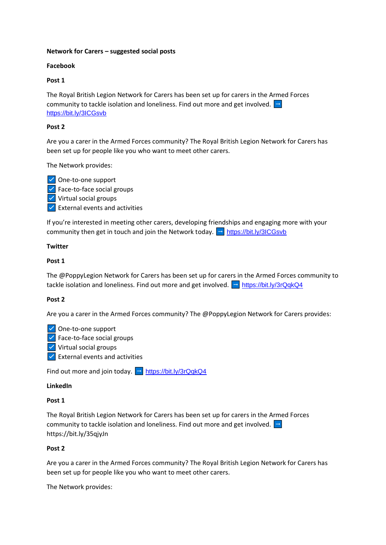# **Network for Carers – suggested social posts**

# **Facebook**

# **Post 1**

The Royal British Legion Network for Carers has been set up for carers in the Armed Forces community to tackle isolation and loneliness. Find out more and get involved.  $\Box$ <https://bit.ly/3ICGsvb>

# **Post 2**

Are you a carer in the Armed Forces community? The Royal British Legion Network for Carers has been set up for people like you who want to meet other carers.

The Network provides:

- One-to-one support
- $\triangledown$  Face-to-face social groups
- $\triangledown$  Virtual social groups
- $\triangledown$  External events and activities

If you're interested in meeting other carers, developing friendships and engaging more with your community then get in touch and join the Network today.  $\Box$  <https://bit.ly/3ICGsvb>

# **Twitter**

# **Post 1**

The @PoppyLegion Network for Carers has been set up for carers in the Armed Forces community to tackle isolation and loneliness. Find out more and get involved.  $\rightarrow$  <https://bit.ly/3rQqkQ4>

### **Post 2**

Are you a carer in the Armed Forces community? The @PoppyLegion Network for Carers provides:

 $\triangledown$  One-to-one support

- $\angle$  Face-to-face social groups
- $\triangledown$  Virtual social groups
- $\triangledown$  External events and activities

Find out more and join today.  $\boxed{\rightarrow}$  <https://bit.ly/3rQqkQ4>

### **LinkedIn**

### **Post 1**

The Royal British Legion Network for Carers has been set up for carers in the Armed Forces community to tackle isolation and loneliness. Find out more and get involved.  $\rightarrow$ https://bit.ly/35qjyJn

### **Post 2**

Are you a carer in the Armed Forces community? The Royal British Legion Network for Carers has been set up for people like you who want to meet other carers.

The Network provides: